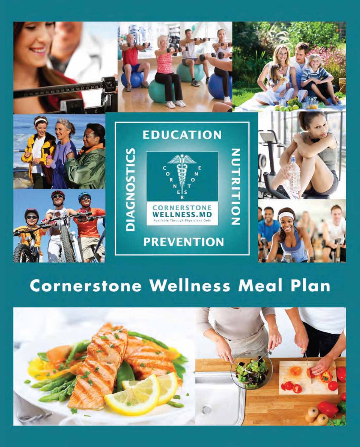

# **Cornerstone Wellness Meal Plan**

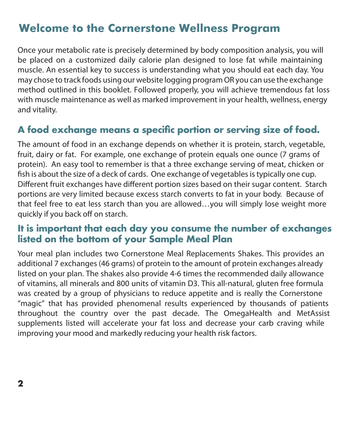## **Welcome to the Cornerstone Wellness Program**

Once your metabolic rate is precisely determined by body composition analysis, you will be placed on a customized daily calorie plan designed to lose fat while maintaining muscle. An essential key to success is understanding what you should eat each day. You may chose to track foods using our website logging program OR you can use the exchange method outlined in this booklet. Followed properly, you will achieve tremendous fat loss with muscle maintenance as well as marked improvement in your health, wellness, energy and vitality.

## **A food exchange means a specific portion or serving size of food.**

The amount of food in an exchange depends on whether it is protein, starch, vegetable, fruit, dairy or fat. For example, one exchange of protein equals one ounce (7 grams of protein). An easy tool to remember is that a three exchange serving of meat, chicken or fish is about the size of a deck of cards. One exchange of vegetables is typically one cup. Different fruit exchanges have different portion sizes based on their sugar content. Starch portions are very limited because excess starch converts to fat in your body. Because of that feel free to eat less starch than you are allowed…you will simply lose weight more quickly if you back off on starch.

### **It is important that each day you consume the number of exchanges listed on the bottom of your Sample Meal Plan**

Your meal plan includes two Cornerstone Meal Replacements Shakes. This provides an additional 7 exchanges (46 grams) of protein to the amount of protein exchanges already listed on your plan. The shakes also provide 4-6 times the recommended daily allowance of vitamins, all minerals and 800 units of vitamin D3. This all-natural, gluten free formula was created by a group of physicians to reduce appetite and is really the Cornerstone "magic" that has provided phenomenal results experienced by thousands of patients throughout the country over the past decade. The OmegaHealth and MetAssist supplements listed will accelerate your fat loss and decrease your carb craving while improving your mood and markedly reducing your health risk factors.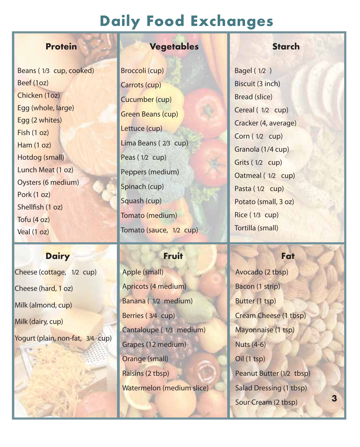## **Daily Food Exchanges**

Beans ( 1/3 cup, cooked) Beef (1oz) Chicken (1oz) Egg (whole, large) Egg (2 whites) Fish (1 oz) Ham (1 oz) Hotdog (small) Lunch Meat (1 oz) Oysters (6 medium) Pork (1 oz) Shellfish  $(1 oz)$ Tofu (4 oz) Veal (1 oz)

### **Dairy Fruit Fat**

Cheese (cottage, 1/2 cup) Cheese (hard, 1 oz) Milk (almond, cup) Milk (dairy, cup) Yogurt (plain, non-fat, 3/4 cup)

### **Protein Vegetables Starch**

Broccoli (cup) Carrots (cup) Cucumber (cup) Green Beans (cup) Lettuce (cup) Lima Beans ( 2/3 cup) Peas (1/2 cup) Peppers (medium) Spinach (cup) Squash (cup) Tomato (medium) Tomato (sauce, 1/2 cup)

Apple (small) Apricots (4 medium) Banana ( 1/2 medium) Berries ( 3/4 cup) Cantaloupe ( 1/3 medium) Grapes (12 medium) Orange (small) Raisins (2 tbsp) Watermelon (medium slice)

Bagel ( 1/2 ) Biscuit (3 inch) Bread (slice) Cereal ( 1/2 cup) Cracker (4, average) Corn ( 1/2 cup) Granola (1/4 cup) Grits ( 1/2 cup) Oatmeal ( 1/2 cup) Pasta (1/2 cup) Potato (small, 3 oz) Rice ( 1/3 cup) Tortilla (small)

Avocado (2 tbsp) Bacon (1 strip) Butter (1 tsp) Cream Cheese (1 tbsp) Mayonnaise (1 tsp) Nuts (4-6) Oil (1 tsp) Peanut Butter (1/2 tbsp) Salad Dressing (1 tbsp) Sour Cream (2 tbsp)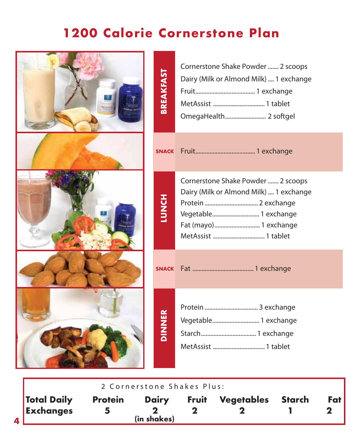| <b>BREAKFAST</b> | Cornerstone Shake Powder  2 scoops<br>Dairy (Milk or Almond Milk)  1 exchange<br>OmegaHealth 2 softgel                         |
|------------------|--------------------------------------------------------------------------------------------------------------------------------|
|                  |                                                                                                                                |
| HONCH            | Cornerstone Shake Powder  2 scoops<br>Dairy (Milk or Almond Milk)  1 exchange<br>Vegetable 1 exchange<br>Fat (mayo) 1 exchange |
|                  |                                                                                                                                |
| <b>DINNER</b>    | Vegetable 1 exchange                                                                                                           |

|                                 |                | 2 Cornerstone Shakes Plus:  |              |                   |       |
|---------------------------------|----------------|-----------------------------|--------------|-------------------|-------|
| <b>Total Daily</b><br>Exchanges | <b>Protein</b> | <b>Dairy</b><br>(in shakes) | <b>Fruit</b> | Vegetables Starch | Fat l |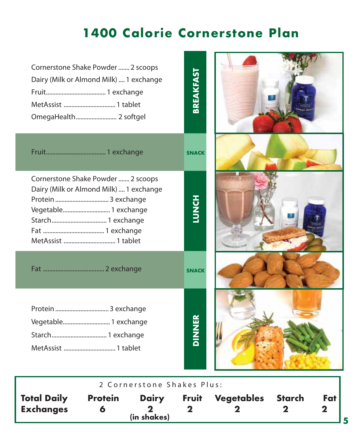| Cornerstone Shake Powder  2 scoops<br>Dairy (Milk or Almond Milk)  1 exchange<br>OmegaHealth 2 softgel | <b>BREAKFAST</b> |  |
|--------------------------------------------------------------------------------------------------------|------------------|--|
|                                                                                                        | <b>SNACK</b>     |  |
| Cornerstone Shake Powder  2 scoops<br>Dairy (Milk or Almond Milk)  1 exchange<br>Vegetable 1 exchange  | HONDI            |  |
|                                                                                                        | <b>SNACK</b>     |  |
| Vegetable 1 exchange<br>Starch 1 exchange                                                              | <b>DINNER</b>    |  |
| 2 Cornerstone Shakes Plus:                                                                             |                  |  |

| 2 Cornerstone Shakes Plus:             |                |                             |              |            |        |     |
|----------------------------------------|----------------|-----------------------------|--------------|------------|--------|-----|
| <b>Total Daily</b><br><b>Exchanges</b> | <b>Protein</b> | <b>Dairy</b><br>(in shakes) | <b>Fruit</b> | Vegetables | Starch | Fat |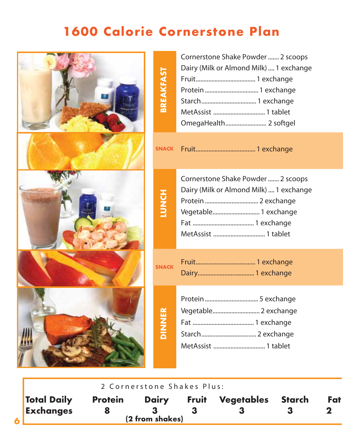| <b>BREAKFAST</b> | Cornerstone Shake Powder  2 scoops<br>Dairy (Milk or Almond Milk)  1 exchange<br>OmegaHealth 2 softgel                       |
|------------------|------------------------------------------------------------------------------------------------------------------------------|
| <b>SNACK</b>     |                                                                                                                              |
| HON<br>HO        | Cornerstone Shake Powder  2 scoops<br>Dairy (Milk or Almond Milk)  1 exchange<br>Protein  2 exchange<br>Vegetable 1 exchange |
| <b>SNACK</b>     |                                                                                                                              |
| <b>DINNER</b>    | Vegetable 2 exchange                                                                                                         |

**2 Co r n e r s t one S hak e s Plus :**

| <b>Total Daily</b> | <b>Protein</b> | <b>Dairy</b>    | <b>Fruit</b> | Vegetables Starch | Fat |
|--------------------|----------------|-----------------|--------------|-------------------|-----|
| Exchanges          |                |                 |              |                   |     |
|                    |                | (2 from shakes) |              |                   |     |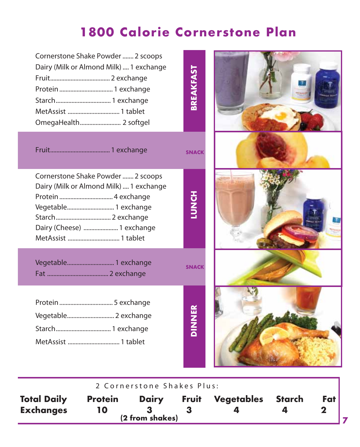| Cornerstone Shake Powder  2 scoops<br>Dairy (Milk or Almond Milk)  1 exchange                                                       | <b>BREAKFAST</b> |  |
|-------------------------------------------------------------------------------------------------------------------------------------|------------------|--|
|                                                                                                                                     | <b>SNACK</b>     |  |
| Cornerstone Shake Powder  2 scoops<br>Dairy (Milk or Almond Milk)  1 exchange<br>Vegetable 1 exchange<br>Dairy (Cheese)  1 exchange | HONDI            |  |
| Vegetable 1 exchange                                                                                                                | <b>SNACK</b>     |  |
| Vegetable 2 exchange                                                                                                                | <b>ANNAIC</b>    |  |

|                                        |                      | 2 Cornerstone Shakes Plus:      |              |            |        |     |
|----------------------------------------|----------------------|---------------------------------|--------------|------------|--------|-----|
| <b>Total Daily</b><br><b>Exchanges</b> | <b>Protein</b><br>10 | <b>Dairy</b><br>(2 from shakes) | <b>Fruit</b> | Vegetables | Starch | Fat |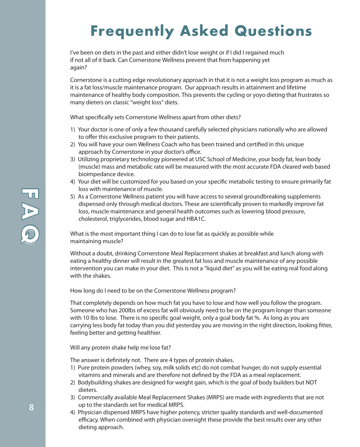# **Frequently Asked Questions**

**I've been on diets in the past and either didn't lose weight or if I did I regained much if not all of it back. Can Cornerstone Wellness prevent that from happening yet again?**

Cornerstone is a cutting edge revolutionary approach in that it is not a weight loss program as much as it is a fat loss/muscle maintenance program. Our approach results in attainment and lifetime maintenance of healthy body composition. This prevents the cycling or yoyo dieting that frustrates so many dieters on classic "weight loss" diets.

What specifically sets Cornerstone Wellness apart from other diets?

- 1) Your doctor is one of only a few thousand carefully selected physicians nationally who are allowed to offer this exclusive program to their patients.
- 2) You will have your own Wellness Coach who has been trained and certified in this unique approach by Cornerstone in your doctor's office.
- 3) Utilizing proprietary technology pioneered at USC School of Medicine, your body fat, lean body (muscle) mass and metabolic rate will be measured with the most accurate FDA cleared web based bioimpedance device.
- 4) Your diet will be customized for you based on your specific metabolic testing to ensure primarily fat loss with maintenance of muscle.
- 5) As a Cornerstone Wellness patient you will have access to several groundbreaking supplements dispensed only through medical doctors. These are scientifically proven to markedly improve fat loss, muscle maintenance and general health outcomes such as lowering blood pressure, cholesterol, triglycerides, blood sugar and HBA1C.

**What is the most important thing I can do to lose fat as quickly as possible while maintaining muscle?**

Without a doubt, drinking Cornerstone Meal Replacement shakes at breakfast and lunch along with eating a healthy dinner will result in the greatest fat loss and muscle maintenance of any possible intervention you can make in your diet. This is not a "liquid diet" as you will be eating real food along with the shakes.

**How long do I need to be on the Cornerstone Wellness program?**

That completely depends on how much fat you have to lose and how well you follow the program. Someone who has 200lbs of excess fat will obviously need to be on the program longer than someone with 10 lbs to lose. There is no specific goal weight, only a goal body fat %. As long as you are carrying less body fat today than you did yesterday you are moving in the right direction, looking fitter, feeling better and getting healthier.

**Will any protein shake help me lose fat?**

The answer is definitely not. There are 4 types of protein shakes.

- 1) Pure protein powders (whey, soy, milk solids etc) do not combat hunger, do not supply essential vitamins and minerals and are therefore not defined by the FDA as a meal replacement.
- 2) Bodybuilding shakes are designed for weight gain, which is the goal of body builders but NOT dieters.
- 3) Commercially available Meal Replacement Shakes (MRPS) are made with ingredients that are not up to the standards set for medical MRPS.
- 4) Physician dispensed MRPS have higher potency, stricter quality standards and well-documented efficacy. When combined with physician oversight these provide the best results over any other dieting approach.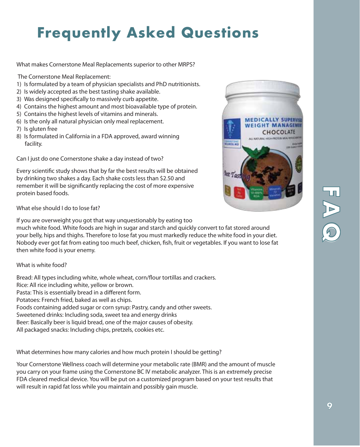# **Frequently Asked Questions**

**What makes Cornerstone Meal Replacements superior to other MRPS?**

The Cornerstone Meal Replacement:

- 1) Is formulated by a team of physician specialists and PhD nutritionists.
- 2) Is widely accepted as the best tasting shake available.
- 3) Was designed specifically to massively curb appetite.
- 4) Contains the highest amount and most bioavailable type of protein.
- 5) Contains the highest levels of vitamins and minerals.
- 6) Is the only all natural physician only meal replacement.
- 7) Is gluten free
- 8) Is formulated in California in a FDA approved, award winning facility.

**Can I just do one Cornerstone shake a day instead of two?**

Every scientific study shows that by far the best results will be obtained by drinking two shakes a day. Each shake costs less than \$2.50 and remember it will be significantly replacing the cost of more expensive protein based foods.

**What else should I do to lose fat?**

If you are overweight you got that way unquestionably by eating too

much white food. White foods are high in sugar and starch and quickly convert to fat stored around your belly, hips and thighs. Therefore to lose fat you must markedly reduce the white food in your diet. Nobody ever got fat from eating too much beef, chicken, fish, fruit or vegetables. If you want to lose fat then white food is your enemy.

#### **What is white food?**

Bread: All types including white, whole wheat, corn/flour tortillas and crackers.

Rice: All rice including white, yellow or brown.

Pasta: This is essentially bread in a different form.

Potatoes: French fried, baked as well as chips.

Foods containing added sugar or corn syrup: Pastry, candy and other sweets.

Sweetened drinks: Including soda, sweet tea and energy drinks

Beer: Basically beer is liquid bread, one of the major causes of obesity.

All packaged snacks: Including chips, pretzels, cookies etc.

**What determines how many calories and how much protein I should be getting?**

Your Cornerstone Wellness coach will determine your metabolic rate (BMR) and the amount of muscle you carry on your frame using the Cornerstone BC IV metabolic analyzer. This is an extremely precise FDA cleared medical device. You will be put on a customized program based on your test results that will result in rapid fat loss while you maintain and possibly gain muscle.

**MEDICALLY SUPERVISE WEIGHT MANAGEME** CHOCOLATE

angla a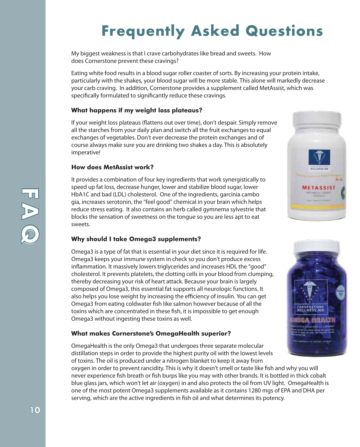# **Frequently Asked Questions**

**My biggest weakness is that I crave carbohydrates like bread and sweets. How does Cornerstone prevent these cravings?**

Eating white food results in a blood sugar roller coaster of sorts. By increasing your protein intake, particularly with the shakes, your blood sugar will be more stable. This alone will markedly decrease your carb craving. In addition, Cornerstone provides a supplement called MetAssist, which was specifically formulated to significantly reduce these cravings.

#### **What happens if my weight loss plateaus?**

If your weight loss plateaus (flattens out over time), don't despair. Simply remove all the starches from your daily plan and switch all the fruit exchanges to equal exchanges of vegetables. Don't ever decrease the protein exchanges and of course always make sure you are drinking two shakes a day. This is absolutely imperative!

### **How does MetAssist work?**

It provides a combination of four key ingredients that work synergistically to speed up fat loss, decrease hunger, lower and stabilize blood sugar, lower HbA1C and bad (LDL) cholesterol. One of the ingredients, garcinia cambo gia, increases serotonin, the "feel good" chemical in your brain which helps reduce stress eating. It also contains an herb called gymnema sylvestrie that blocks the sensation of sweetness on the tongue so you are less apt to eat sweets.

#### **Why should I take Omega3 supplements?**

Omega3 is a type of fat that is essential in your diet since it is required for life. Omega3 keeps your immune system in check so you don't produce excess inflammation. It massively lowers triglycerides and increases HDL the "good" cholesterol. It prevents platelets, the clotting cells in your blood from clumping, thereby decreasing your risk of heart attack. Because your brain is largely composed of Omega3, this essential fat supports all neurologic functions. It also helps you lose weight by increasing the efficiency of insulin. You can get Omega3 from eating coldwater fish like salmon however because of all the toxins which are concentrated in these fish, it is impossible to get enough Omega3 without ingesting these toxins as well.

#### **What makes Cornerstone's OmegaHealth superior?**

OmegaHealth is the only Omega3 that undergoes three separate molecular distillation steps in order to provide the highest purity oil with the lowest levels of toxins. The oil is produced under a nitrogen blanket to keep it away from

oxygen in order to prevent rancidity. This is why it doesn't smell or taste like fish and why you will never experience fish breath or fish burps like you may with other brands. It is bottled in thick cobalt blue glass jars, which won't let air (oxygen) in and also protects the oil from UV light. OmegaHealth is one of the most potent Omega3 supplements available as it contains 1280 mgs of EPA and DHA per serving, which are the active ingredients in fish oil and what determines its potency.





**F**

**A**

**Q**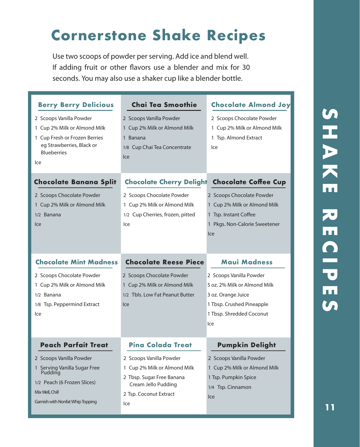# **Cornerstone Shake Recipes**

Use two scoops of powder perserving. Add ice and blend well. If adding fruit or other flavors use a blender and mix for 30 seconds. You may also use a shaker cup like a blender bottle.

| <b>Berry Berry Delicious</b>                                                                                                                       | Chai Tea Smoothie                                                                                           | <b>Chocolate Almond Joy</b>                                                                                                                   |
|----------------------------------------------------------------------------------------------------------------------------------------------------|-------------------------------------------------------------------------------------------------------------|-----------------------------------------------------------------------------------------------------------------------------------------------|
| 2 Scoops Vanilla Powder<br>1 Cup 2% Milk or Almond Milk<br>1 Cup Fresh or Frozen Berries<br>eg Strawberries, Black or<br><b>Blueberries</b><br>lce | 2 Scoops Vanilla Powder<br>1 Cup 2% Milk or Almond Milk<br>1 Banana<br>1/8 Cup Chai Tea Concentrate<br>Ice  | 2 Scoops Chocolate Powder<br>1 Cup 2% Milk or Almond Milk<br>1 Tsp. Almond Extract<br>Ice                                                     |
| <b>Chocolate Banana Split</b>                                                                                                                      | <b>Chocolate Cherry Delight</b>                                                                             | <b>Chocolate Coffee Cup</b>                                                                                                                   |
| 2 Scoops Chocolate Powder<br>1 Cup 2% Milk or Almond Milk<br>1/2 Banana<br>Ice                                                                     | 2 Scoops Chocolate Powder<br>1 Cup 2% Milk or Almond Milk<br>1/2 Cup Cherries, frozen, pitted<br>Ice        | 2 Scoops Chocolate Powder<br>1 Cup 2% Milk or Almond Milk<br>1 Tsp. Instant Coffee<br>1 Pkgs. Non-Calorie Sweetener<br>Ice                    |
| <b>Chocolate Mint Madness</b>                                                                                                                      | <b>Chocolate Reese Piece</b>                                                                                | <b>Maui Madness</b>                                                                                                                           |
| 2 Scoops Chocolate Powder<br>1 Cup 2% Milk or Almond Milk<br>1/2 Banana<br>1/8 Tsp. Peppermind Extract<br>lce                                      | 2 Scoops Chocolate Powder<br>1 Cup 2% Milk or Almond Milk<br>1/2 Tbls. Low Fat Peanut Butter<br>Ice         | 2 Scoops Vanilla Powder<br>5 oz. 2% Milk or Almond Milk<br>3 oz. Orange Juice<br>1 Tbsp. Crushed Pineapple<br>1 Tbsp. Shredded Coconut<br>Ice |
| <b>Peach Parfait Treat</b>                                                                                                                         | <b>Pina Colada Treat</b>                                                                                    | <b>Pumpkin Delight</b>                                                                                                                        |
| 2 Scoops Vanilla Powder<br>1 Serving Vanilla Sugar Free<br>Pudding<br>1/2 Peach (6 Frozen Slices)                                                  | 2 Scoops Vanilla Powder<br>1 Cup 2% Milk or Almond Milk<br>2 Tbsp. Sugar Free Banana<br>Cream Jello Pudding | 2 Scoops Vanilla Powder<br>1 Cup 2% Milk or Almond Milk<br>1 Tsp. Pumpkin Spice<br>1/4 Tsp. Cinnamon                                          |